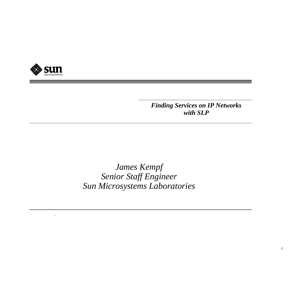

*.*

 *Finding Services on IP Networks with SLP*

*James Kempf Senior Staff Engineer Sun Microsystems Laboratories*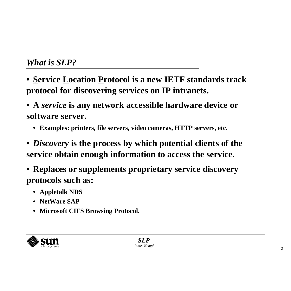- **• Service Location Protocol is a new IETF standards track protocol for discovering services on IP intranets.**
- **• A** *service* **is any network accessible hardware device or software server.**
	- **• Examples: printers, file servers, video cameras, HTTP servers, etc.**
- **•** *Discovery* **is the process by which potential clients of the service obtain enough information to access the service.**
- **• Replaces or supplements proprietary service discovery protocols such as:**
	- **• Appletalk NDS**
	- **• NetWare SAP**
	- **• Microsoft CIFS Browsing Protocol.**

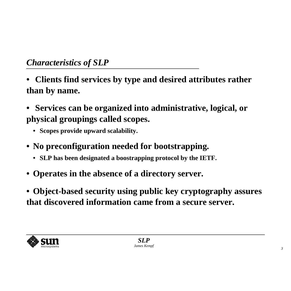- **• Clients find services by type and desired attributes rather than by name.**
- **• Services can be organized into administrative, logical, or physical groupings called scopes.**
	- **• Scopes provide upward scalability.**
- **• No preconfiguration needed for bootstrapping.**
	- **• SLP has been designated a boostrapping protocol by the IETF.**
- **• Operates in the absence of a directory server.**
- **• Object-based security using public key cryptography assures that discovered information came from a secure server.**

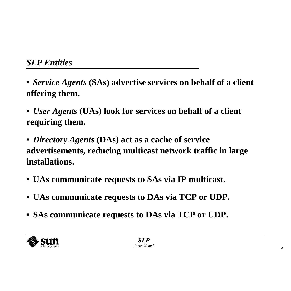- **•** *Service Agents* **(SAs) advertise services on behalf of a client offering them.**
- **•** *User Agents* **(UAs) look for services on behalf of a client requiring them.**
- **•** *Directory Agents* **(DAs) act as a cache of service advertisements, reducing multicast network traffic in large installations.**
- **• UAs communicate requests to SAs via IP multicast.**
- **• UAs communicate requests to DAs via TCP or UDP.**
- **• SAs communicate requests to DAs via TCP or UDP.**

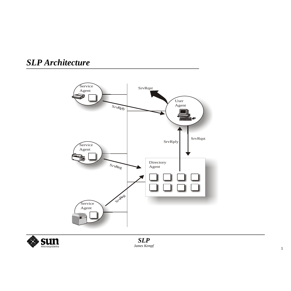### *SLP Architecture*



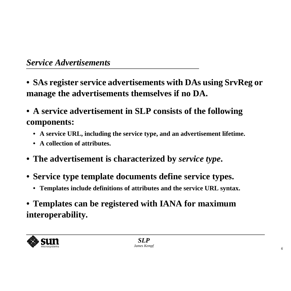- **• SAs register service advertisements with DAs using SrvReg or manage the advertisements themselves if no DA.**
- **• A service advertisement in SLP consists of the following components:**
	- **• A service URL, including the service type, and an advertisement lifetime.**
	- **• A collection of attributes.**
- **• The advertisement is characterized by** *service type***.**
- **• Service type template documents define service types.**
	- **• Templates include definitions of attributes and the service URL syntax.**
- **• Templates can be registered with IANA for maximum interoperability.**

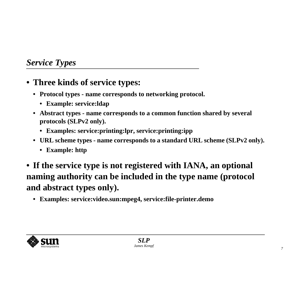#### *Service Types*

- **• Three kinds of service types:**
	- **• Protocol types name corresponds to networking protocol.**
		- **• Example: service:ldap**
	- **• Abstract types name corresponds to a common function shared by several protocols (SLPv2 only).**
		- **• Examples: service:printing:lpr, service:printing:ipp**
	- $\,$  URL scheme types name corresponds to a standard URL scheme (SLPv2 only).
		- **• Example: http**
- **• If the service type is not registered with IANA, an optional naming authority can be included in the type name (protocol and abstract types only).**
	- **• Examples: service:video.sun:mpeg4, service:file-printer.demo**

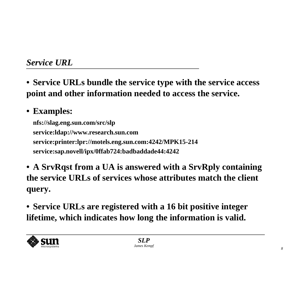**• Service URLs bundle the service type with the service access point and other information needed to access the service.**

# **• Examples:**

**nfs://slag.eng.sun.com/src/slp service:ldap://www.research.sun.com service:printer:lpr://motels.eng.sun.com:4242/MPK15-214 service:sap.novell/ipx/0ffab724:badbaddade44:4242**

- **• A SrvRqst from a UA is answered with a SrvRply containing the service URLs of services whose attributes match the client query.**
- **• Service URLs are registered with a 16 bit positive integer lifetime, which indicates how long the information is valid.**

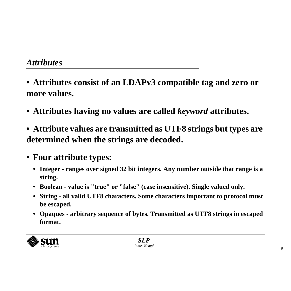- **• Attributes consist of an LDAPv3 compatible tag and zero or more values.**
- **• Attributes having no values are called** *keyword* **attributes.**
- **• Attribute values are transmitted as UTF8 strings but types are determined when the strings are decoded.**
- **• Four attribute types:**
	- **• Integer ranges over signed 32 bit integers. Any number outside that range is a string.**
	- **• Boolean value is "true" or "false" (case insensitive). Single valued only.**
	- **•**String - all valid UTF8 characters. Some characters important to protocol must **be escaped.**
	- Opaques arbitrary sequence of bytes. Transmitted as UTF8 strings in escaped **format.**

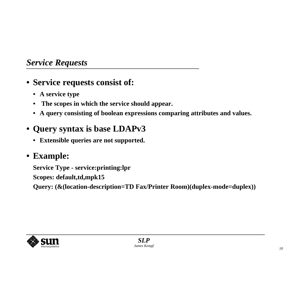#### *Service Requests*

- **• Service requests consist of:**
	- **• A service type**
	- **• The scopes in which the service should appear.**
	- **• A query consisting of boolean expressions comparing attributes and values.**
- **• Query syntax is base LDAPv3**
	- **• Extensible queries are not supported.**

### **• Example:**

**Service Type - service:printing:lpr Scopes: default,td,mpk15 Query: (&(location-description=TD Fax/Printer Room)(duplex-mode=duplex))**

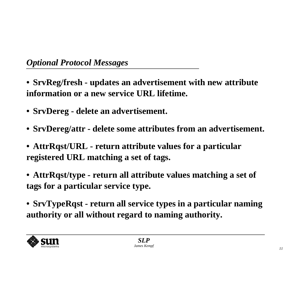- **• SrvReg/fresh updates an advertisement with new attribute information or a new service URL lifetime.**
- **• SrvDereg delete an advertisement.**
- **• SrvDereg/attr - delete some attributes from an advertisement.**
- **• AttrRqst/URL return attribute values for a particular registered URL matching a set of tags.**
- **• AttrRqst/type return all attribute values matching a set of tags for a particular service type.**
- **• SrvTypeRqst - return all service types in <sup>a</sup> particular naming authority or all without regard to naming authority.**

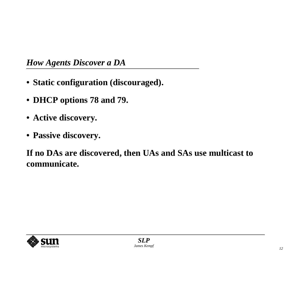#### *How Agents Discover a DA*

- **• Static configuration (discouraged).**
- **• DHCP options 78 and 79.**
- **• Active discovery.**
- **• Passive discovery.**

**If no DAs are discovered, then UAs and SAs use multicast to communicate.**

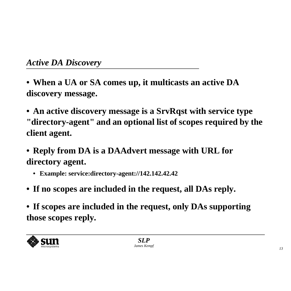- **• When a UA or SA comes up, it multicasts an active DA discovery message.**
- **• An active discovery message is a SrvRqst with service type "directory-agent" and an optional list of scopes required by the client agent.**
- **• Reply from DA is a DAAdvert message with URL for directory agent.**
	- **• Example: service:directory-agent://142.142.42.42**
- **• If no scopes are included in the request, all DAs reply.**
- **• If scopes are included in the request, only DAs supporting those scopes reply.**

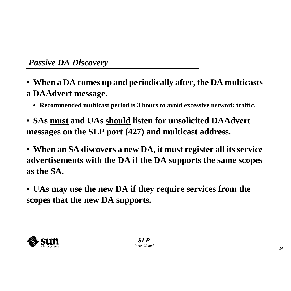- $\bullet\,$  When a DA comes up and periodically after, the DA multicasts **a DAAdvert message.**
	- **• Recommended multicast period is 3 hours to avoid excessive network traffic.**
- **• SAs must and UAs should listen for unsolicited DAAdvert messages on the SLP port (427) and multicast address.**
- $\bullet\,$  When an SA discovers a new DA, it must register all its service **advertisements with the DA if the DA supports the same scopes as the SA.**
- **• UAs may use the new DA if they require services from the scopes that the new DA supports.**

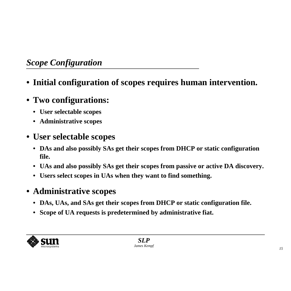## *Scope Configuration*

- **• Initial configuration of scopes requires human intervention.**
- **• Two configurations:**
	- **• User selectable scopes**
	- **• Administrative scopes**
- **• User selectable scopes**
	- **• DAs and also possibly SAs get their scopes from DHCP or static configuration file.**
	- **• UAs and also possibly SAs get their scopes from passive or active DA discovery.**
	- **• Users select scopes in UAs when they want to find something.**
- **• Administrative scopes**
	- **• DAs, UAs, and SAs get their scopes from DHCP or static configuration file.**
	- **• Scope of UA requests is predetermined by administrative fiat.**

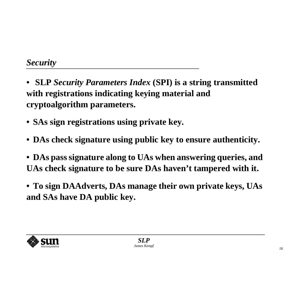- **• SLP** *Security Parameters Index* **(SPI) is a string transmitted with registrations indicating keying material and cryptoalgorithm parameters.**
- **• SAs sign registrations using private key.**
- **• DAs check signature using public key to ensure authenticity.**
- **• DAs pass signature along to UAs when answering queries, and UAs check signature to be sure DAs haven't tampered with it.**
- **• To sign DAAdverts, DAs manage their own private keys, UAs and SAs have DA public key.**

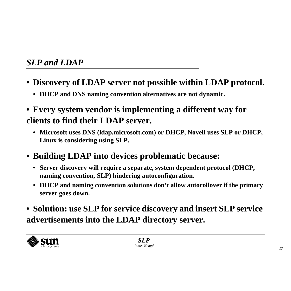- **• Discovery of LDAP server not possible within LDAP protocol.**
	- **• DHCP and DNS naming convention alternatives are not dynamic.**
- **• Every system vendor is implementing a different way for clients to find their LDAP server.**
	- **• Microsoft uses DNS (ldap.microsoft.com) or DHCP, Novell uses SLP or DHCP, Linux is considering using SLP.**
- **• Building LDAP into devices problematic because:**
	- **• Server discovery will require a separate, system dependent protocol (DHCP, naming convention, SLP) hindering autoconfiguration.**
	- $\,$  DHCP and naming convention solutions don't allow autorollover if the primary **server goes down.**
- **• Solution: use SLP for service discovery and insert SLP service advertisements into the LDAP directory server.**

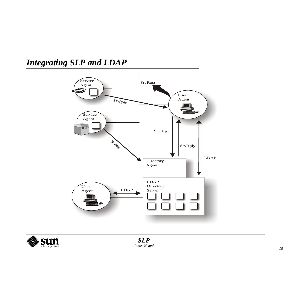## *Integrating SLP and LDAP*



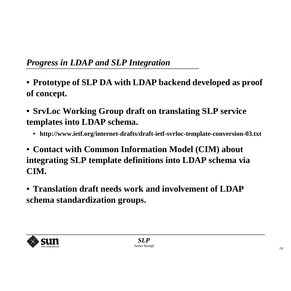- **• Prototype of SLP DA with LDAP backend developed as proof of concept.**
- **• SrvLoc Working Group draft on translating SLP service templates into LDAP schema.**
	- **• http://www.ietf.org/internet-drafts/draft-ietf-svrloc-template-conversion-03.txt**
- **• Contact with Common Information Model (CIM) about integrating SLP template definitions into LDAP schema via CIM.**
- **• Translation draft needs work and involvement of LDAPschema standardization groups.**

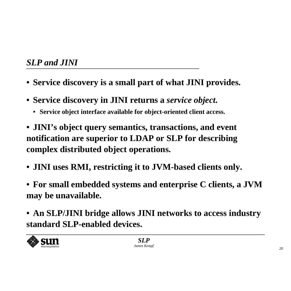- **• Service discovery is a small part of what JINI provides.**
- **• Service discovery in JINI returns a** *service object***.**
	- **• Service object interface available for object-oriented client access.**
- **• JINI's object query semantics, transactions, and event notification are superior to LDAP or SLP for describing complex distributed object operations.**
- **• JINI uses RMI, restricting it to JVM-based clients only.**
- **• For small embedded systems and enterprise C clients, <sup>a</sup> JVM may be unavailable.**
- **• An SLP/JINI bridge allows JINI networks to access industry standard SLP-enabled devices.**

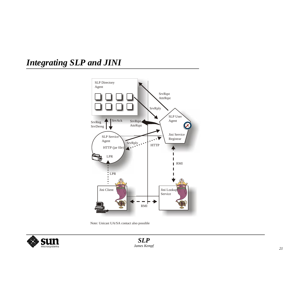## *Integrating SLP and JINI*



Note: Unicast UA/SA contact also possible

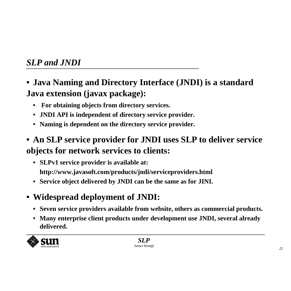- **• Java Naming and Directory Interface (JNDI) is a standard Java extension (javax package):**
	- **• For obtaining objects from directory services.**
	- **• JNDI API is independent of directory service provider.**
	- **• Naming is dependent on the directory service provider.**
- $\bullet\,$  An SLP service provider for JNDI uses SLP to deliver service **objects for network services to clients:**
	- **• SLPv1 service provider is available at: http://www.javasoft.com/products/jndi/serviceproviders.html**
	- **• Service object delivered by JNDI can be the same as for JINI.**
- **• Widespread deployment of JNDI:**
	- **• Seven service providers available from website, others as commercial products.**
	- **• Many enterprise client products under development use JNDI, several already delivered.**

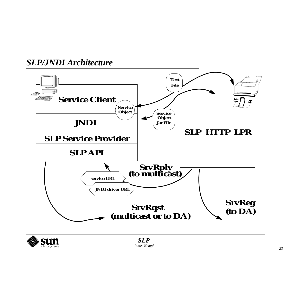#### *SLP/JNDI Architecture*



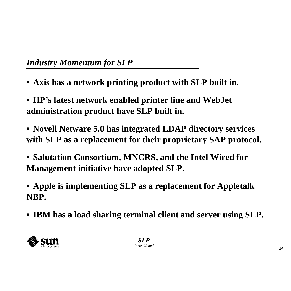- **• Axis has a network printing product with SLP built in.**
- **• HP's latest network enabled printer line and WebJet administration product have SLP built in.**
- **• Novell Netware 5.0 has integrated LDAP directory services with SLP as a replacement for their proprietary SAP protocol.**
- **• Salutation Consortium, MNCRS, and the Intel Wired for Management initiative have adopted SLP.**
- **• Apple is implementing SLP as a replacement for Appletalk NBP.**
- **• IBM has a load sharing terminal client and server using SLP.**